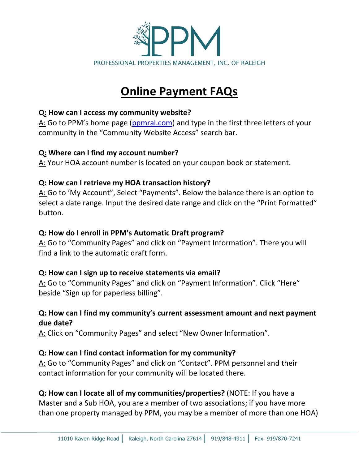

# **Online Payment FAQs**

### **Q: How can I access my community website?**

A: Go to PPM's home page [\(ppmral.com\)](https://ppmral.com/) and type in the first three letters of your community in the "Community Website Access" search bar.

### **Q: Where can I find my account number?**

A: Your HOA account number is located on your coupon book or statement.

## **Q: How can I retrieve my HOA transaction history?**

A: Go to 'My Account", Select "Payments". Below the balance there is an option to select a date range. Input the desired date range and click on the "Print Formatted" button.

### **Q: How do I enroll in PPM's Automatic Draft program?**

A: Go to "Community Pages" and click on "Payment Information". There you will find a link to the automatic draft form.

### **Q: How can I sign up to receive statements via email?**

A: Go to "Community Pages" and click on "Payment Information". Click "Here" beside "Sign up for paperless billing".

## **Q: How can I find my community's current assessment amount and next payment due date?**

A: Click on "Community Pages" and select "New Owner Information".

## **Q: How can I find contact information for my community?**

A: Go to "Community Pages" and click on "Contact". PPM personnel and their contact information for your community will be located there.

# **Q: How can I locate all of my communities/properties?** (NOTE: If you have a Master and a Sub HOA, you are a member of two associations; if you have more than one property managed by PPM, you may be a member of more than one HOA)